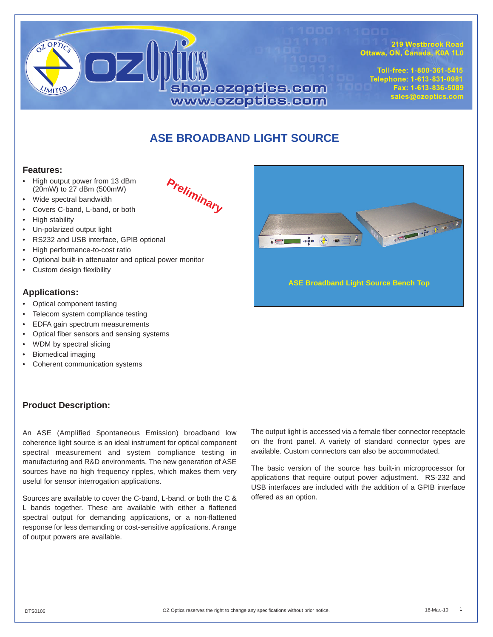

**Preliminary**

219 Westbrook Road Ottawa, ON, Canada, K0A 1L0

Toll-free: 1-800-361-5415 Telephone: 1-613-831-0981 Fax: 1-613-836-5089 sales@ozoptics.com

# **ASE BROADBAND LIGHT SOURCE**

#### **Features:**

- High output power from 13 dBm (20mW) to 27 dBm (500mW)
- Wide spectral bandwidth
- Covers C-band, L-band, or both
- High stability
- Un-polarized output light
- RS232 and USB interface, GPIB optional
- High performance-to-cost ratio
- Optional built-in attenuator and optical power monitor
- Custom design flexibility

#### **Applications:**

- Optical component testing
- Telecom system compliance testing
- EDFA gain spectrum measurements
- Optical fiber sensors and sensing systems
- WDM by spectral slicing
- Biomedical imaging
- Coherent communication systems

### **Product Description:**

An ASE (Amplified Spontaneous Emission) broadband low coherence light source is an ideal instrument for optical component spectral measurement and system compliance testing in manufacturing and R&D environments. The new generation of ASE sources have no high frequency ripples, which makes them very useful for sensor interrogation applications.

Sources are available to cover the C-band, L-band, or both the C & L bands together. These are available with either a flattened spectral output for demanding applications, or a non-flattened response for less demanding or cost-sensitive applications. A range of output powers are available.

The output light is accessed via a female fiber connector receptacle on the front panel. A variety of standard connector types are available. Custom connectors can also be accommodated.

The basic version of the source has built-in microprocessor for applications that require output power adjustment. RS-232 and USB interfaces are included with the addition of a GPIB interface offered as an option.



**ASE Broadband Light Source Bench Top**